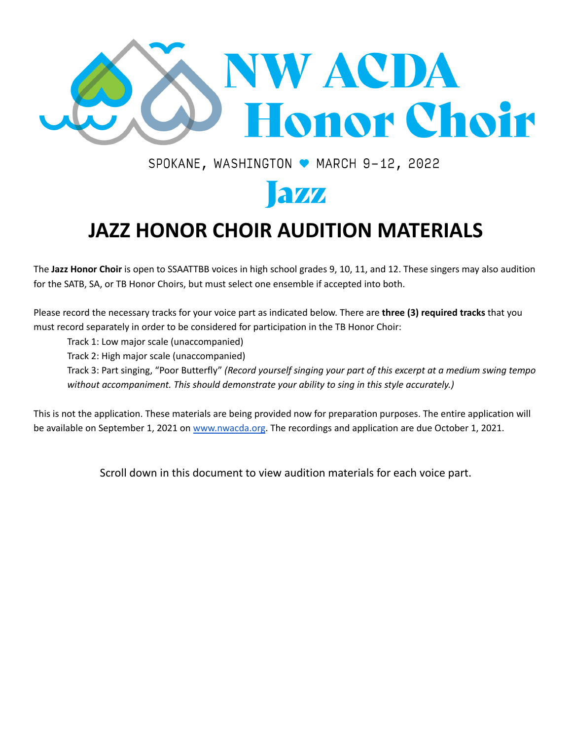

SPOKANE, WASHINGTON ● MARCH 9-12, 2022

# aw

# **JAZZ HONOR CHOIR AUDITION MATERIALS**

The **Jazz Honor Choir** is open to SSAATTBB voices in high school grades 9, 10, 11, and 12. These singers may also audition for the SATB, SA, or TB Honor Choirs, but must select one ensemble if accepted into both.

Please record the necessary tracks for your voice part as indicated below. There are **three (3) required tracks** that you must record separately in order to be considered for participation in the TB Honor Choir:

Track 1: Low major scale (unaccompanied)

Track 2: High major scale (unaccompanied)

Track 3: Part singing, "Poor Butterfly" *(Record yourself singing your part of this excerpt at a medium swing tempo without accompaniment. This should demonstrate your ability to sing in this style accurately.)*

This is not the application. These materials are being provided now for preparation purposes. The entire application will be available on September 1, 2021 on [www.nwacda.org](http://www.nwacda.org). The recordings and application are due October 1, 2021.

Scroll down in this document to view audition materials for each voice part.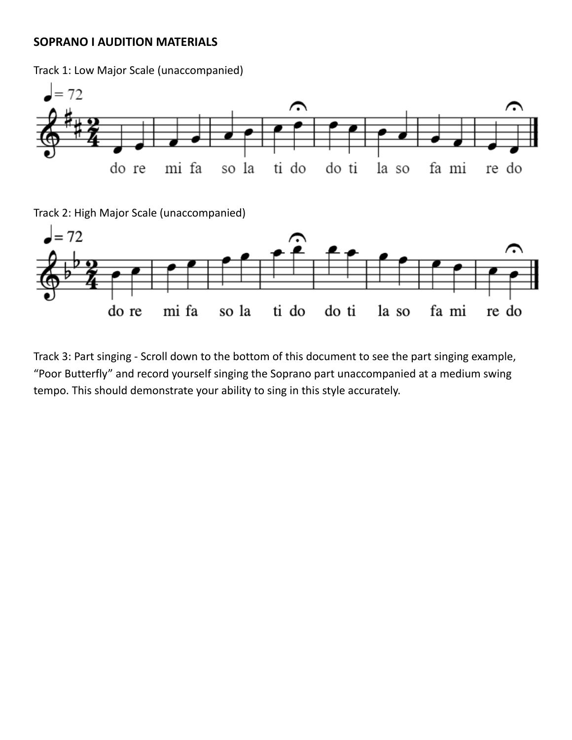### **SOPRANO I AUDITION MATERIALS**

Track 1: Low Major Scale (unaccompanied)



Track 2: High Major Scale (unaccompanied)



Track 3: Part singing - Scroll down to the bottom of this document to see the part singing example, "Poor Butterfly" and record yourself singing the Soprano part unaccompanied at a medium swing tempo. This should demonstrate your ability to sing in this style accurately.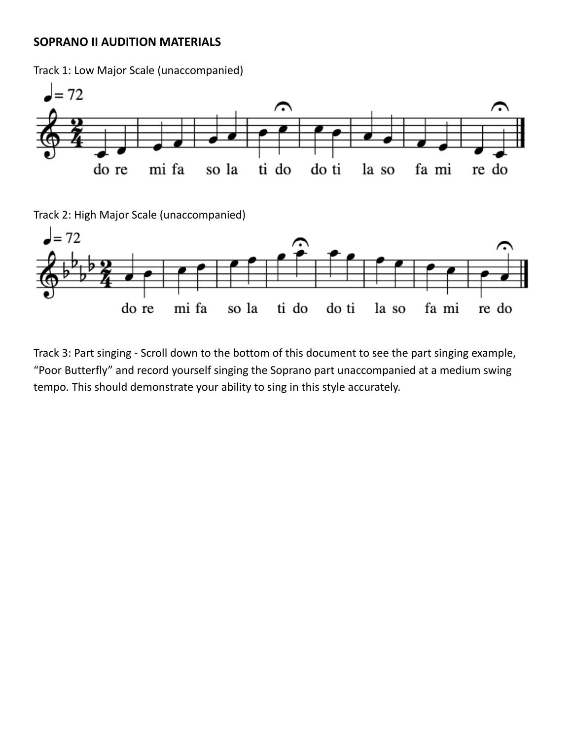### **SOPRANO II AUDITION MATERIALS**

Track 1: Low Major Scale (unaccompanied)



Track 2: High Major Scale (unaccompanied)



Track 3: Part singing - Scroll down to the bottom of this document to see the part singing example, "Poor Butterfly" and record yourself singing the Soprano part unaccompanied at a medium swing tempo. This should demonstrate your ability to sing in this style accurately.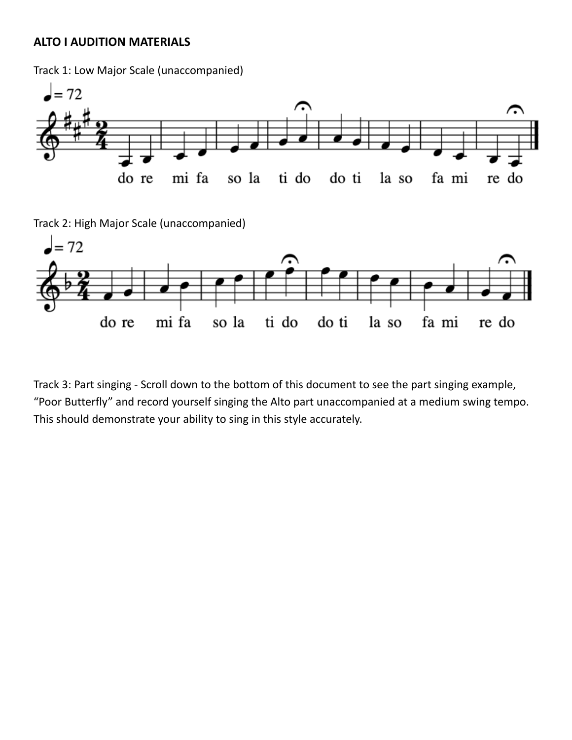## **ALTO I AUDITION MATERIALS**

Track 1: Low Major Scale (unaccompanied)



Track 2: High Major Scale (unaccompanied)



Track 3: Part singing - Scroll down to the bottom of this document to see the part singing example, "Poor Butterfly" and record yourself singing the Alto part unaccompanied at a medium swing tempo. This should demonstrate your ability to sing in this style accurately.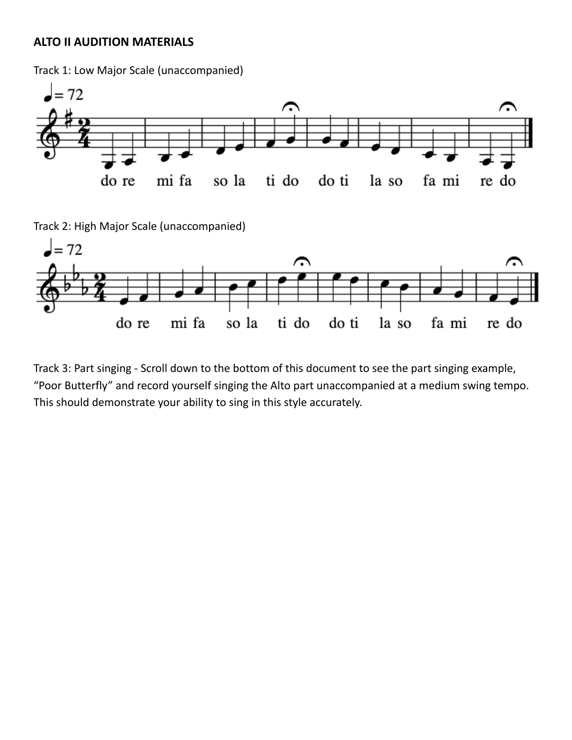## **ALTO II AUDITION MATERIALS**

Track 1: Low Major Scale (unaccompanied)



Track 2: High Major Scale (unaccompanied)



Track 3: Part singing - Scroll down to the bottom of this document to see the part singing example, "Poor Butterfly" and record yourself singing the Alto part unaccompanied at a medium swing tempo. This should demonstrate your ability to sing in this style accurately.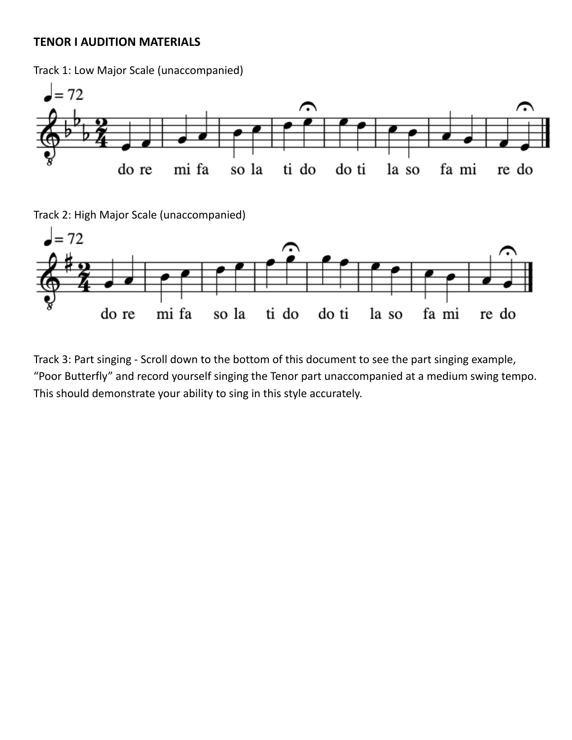### **TENOR I AUDITION MATERIALS**

Track 1: Low Major Scale (unaccompanied)



Track 2: High Major Scale (unaccompanied)



Track 3: Part singing - Scroll down to the bottom of this document to see the part singing example, "Poor Butterfly" and record yourself singing the Tenor part unaccompanied at a medium swing tempo. This should demonstrate your ability to sing in this style accurately.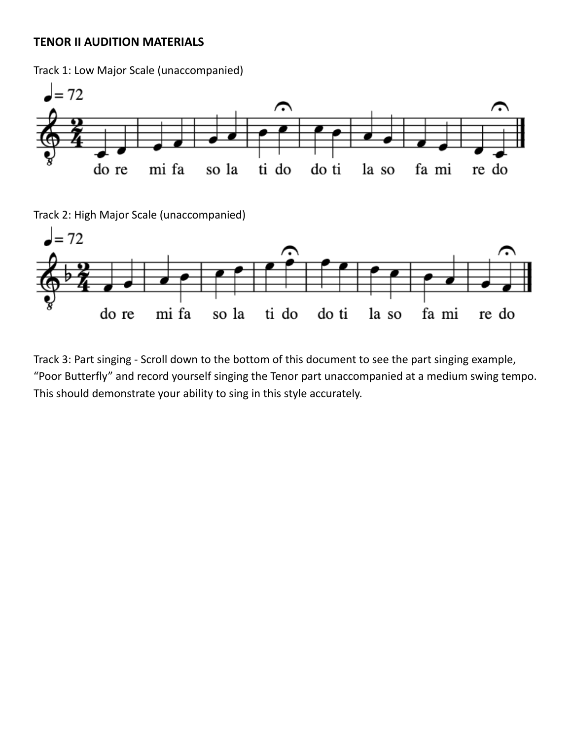## **TENOR II AUDITION MATERIALS**

Track 1: Low Major Scale (unaccompanied)



Track 2: High Major Scale (unaccompanied)



Track 3: Part singing - Scroll down to the bottom of this document to see the part singing example, "Poor Butterfly" and record yourself singing the Tenor part unaccompanied at a medium swing tempo. This should demonstrate your ability to sing in this style accurately.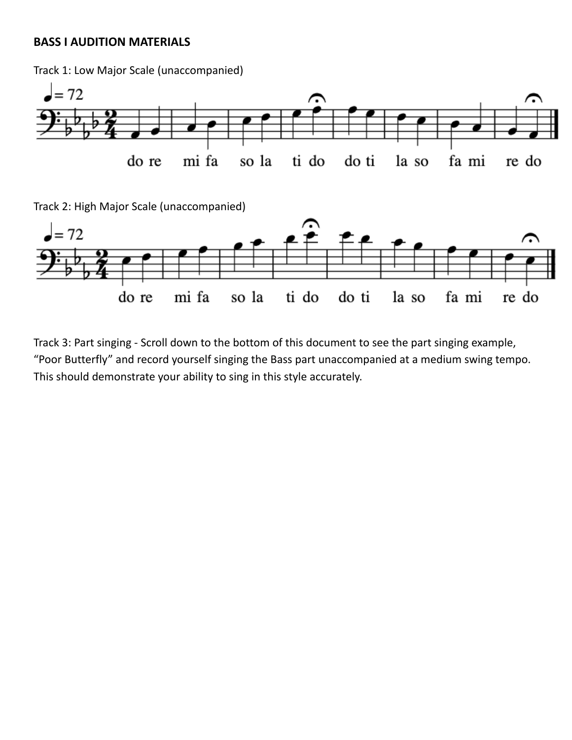## **BASS I AUDITION MATERIALS**

Track 1: Low Major Scale (unaccompanied)



Track 3: Part singing - Scroll down to the bottom of this document to see the part singing example, "Poor Butterfly" and record yourself singing the Bass part unaccompanied at a medium swing tempo. This should demonstrate your ability to sing in this style accurately.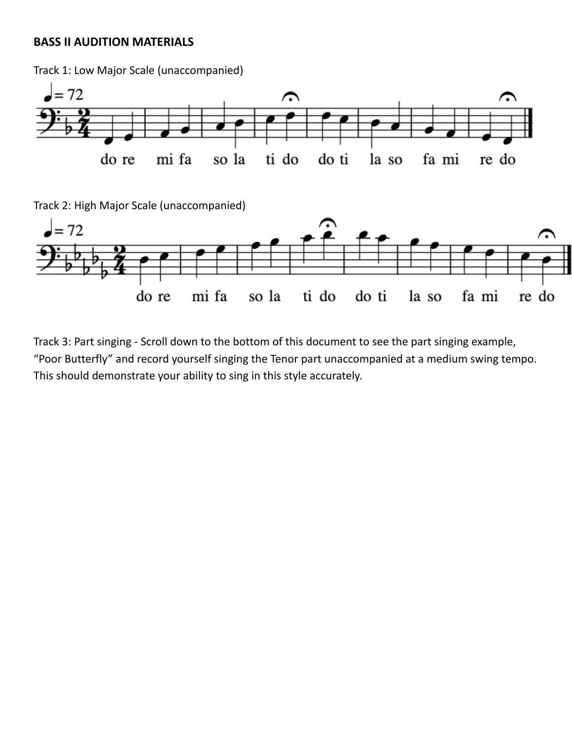## **BASS II AUDITION MATERIALS**

Track 1: Low Major Scale (unaccompanied)  $= 72$  $\curvearrowright$ ⌒ mi fa ti do do re so la do ti la so fa mi re do Track 2: High Major Scale (unaccompanied) ⌒  $= 72$ چ mi fa do ti do re so la ti do la so fa mi re do

Track 3: Part singing - Scroll down to the bottom of this document to see the part singing example, "Poor Butterfly" and record yourself singing the Tenor part unaccompanied at a medium swing tempo. This should demonstrate your ability to sing in this style accurately.